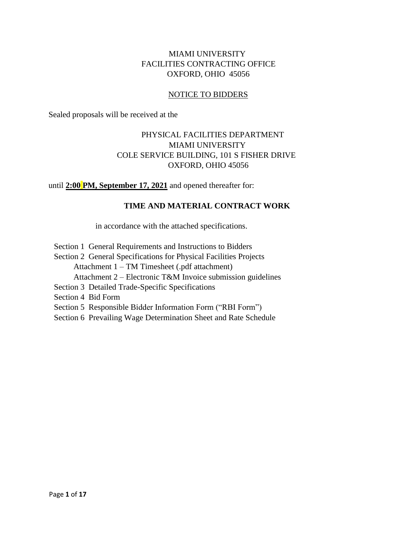## MIAMI UNIVERSITY FACILITIES CONTRACTING OFFICE OXFORD, OHIO 45056

## NOTICE TO BIDDERS

Sealed proposals will be received at the

# PHYSICAL FACILITIES DEPARTMENT MIAMI UNIVERSITY COLE SERVICE BUILDING, 101 S FISHER DRIVE OXFORD, OHIO 45056

until **2:00 PM, September 17, 2021** and opened thereafter for:

# **TIME AND MATERIAL CONTRACT WORK**

in accordance with the attached specifications.

- Section 1 General Requirements and Instructions to Bidders
- Section 2 General Specifications for Physical Facilities Projects
	- Attachment 1 TM Timesheet (.pdf attachment)
	- Attachment 2 Electronic T&M Invoice submission guidelines
- Section 3 Detailed Trade-Specific Specifications
- Section 4 Bid Form
- Section 5 Responsible Bidder Information Form ("RBI Form")
- Section 6 Prevailing Wage Determination Sheet and Rate Schedule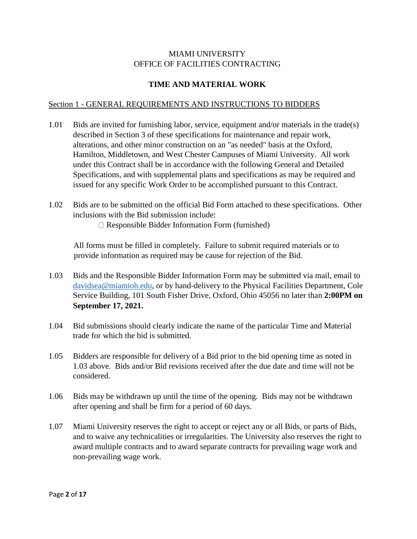## MIAMI UNIVERSITY OFFICE OF FACILITIES CONTRACTING

# **TIME AND MATERIAL WORK**

### Section 1 - GENERAL REQUIREMENTS AND INSTRUCTIONS TO BIDDERS

- 1.01 Bids are invited for furnishing labor, service, equipment and/or materials in the trade(s) described in Section 3 of these specifications for maintenance and repair work, alterations, and other minor construction on an "as needed" basis at the Oxford, Hamilton, Middletown, and West Chester Campuses of Miami University. All work under this Contract shall be in accordance with the following General and Detailed Specifications, and with supplemental plans and specifications as may be required and issued for any specific Work Order to be accomplished pursuant to this Contract.
- 1.02 Bids are to be submitted on the official Bid Form attached to these specifications. Other inclusions with the Bid submission include:
	- Responsible Bidder Information Form (furnished)

All forms must be filled in completely. Failure to submit required materials or to provide information as required may be cause for rejection of the Bid.

- 1.03 Bids and the Responsible Bidder Information Form may be submitted via mail, email to [davidsea@miamioh.edu,](mailto:davidsea@miamioh.edu) or by hand-delivery to the Physical Facilities Department, Cole Service Building, 101 South Fisher Drive, Oxford, Ohio 45056 no later than **2:00PM on September 17, 2021.**
- 1.04 Bid submissions should clearly indicate the name of the particular Time and Material trade for which the bid is submitted.
- 1.05 Bidders are responsible for delivery of a Bid prior to the bid opening time as noted in 1.03 above. Bids and/or Bid revisions received after the due date and time will not be considered.
- 1.06 Bids may be withdrawn up until the time of the opening. Bids may not be withdrawn after opening and shall be firm for a period of 60 days.
- 1.07 Miami University reserves the right to accept or reject any or all Bids, or parts of Bids, and to waive any technicalities or irregularities. The University also reserves the right to award multiple contracts and to award separate contracts for prevailing wage work and non-prevailing wage work.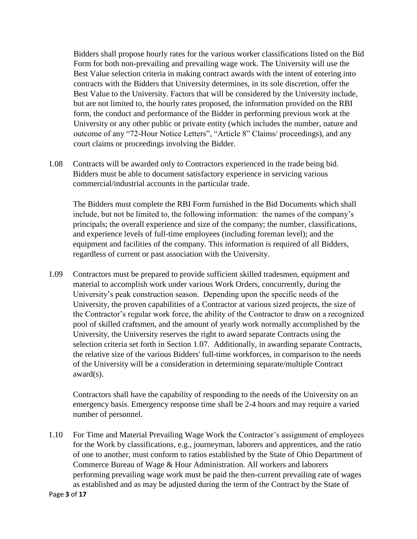Bidders shall propose hourly rates for the various worker classifications listed on the Bid Form for both non-prevailing and prevailing wage work. The University will use the Best Value selection criteria in making contract awards with the intent of entering into contracts with the Bidders that University determines, in its sole discretion, offer the Best Value to the University. Factors that will be considered by the University include, but are not limited to, the hourly rates proposed, the information provided on the RBI form, the conduct and performance of the Bidder in performing previous work at the University or any other public or private entity (which includes the number, nature and outcome of any "72-Hour Notice Letters", "Article 8" Claims/ proceedings), and any court claims or proceedings involving the Bidder.

1.08 Contracts will be awarded only to Contractors experienced in the trade being bid. Bidders must be able to document satisfactory experience in servicing various commercial/industrial accounts in the particular trade.

The Bidders must complete the RBI Form furnished in the Bid Documents which shall include, but not be limited to, the following information: the names of the company's principals; the overall experience and size of the company; the number, classifications, and experience levels of full-time employees (including foreman level); and the equipment and facilities of the company. This information is required of all Bidders, regardless of current or past association with the University.

1.09 Contractors must be prepared to provide sufficient skilled tradesmen, equipment and material to accomplish work under various Work Orders, concurrently, during the University's peak construction season. Depending upon the specific needs of the University, the proven capabilities of a Contractor at various sized projects, the size of the Contractor's regular work force, the ability of the Contractor to draw on a recognized pool of skilled craftsmen, and the amount of yearly work normally accomplished by the University, the University reserves the right to award separate Contracts using the selection criteria set forth in Section 1.07. Additionally, in awarding separate Contracts, the relative size of the various Bidders' full-time workforces, in comparison to the needs of the University will be a consideration in determining separate/multiple Contract award(s).

Contractors shall have the capability of responding to the needs of the University on an emergency basis. Emergency response time shall be 2-4 hours and may require a varied number of personnel.

1.10 For Time and Material Prevailing Wage Work the Contractor's assignment of employees for the Work by classifications, e.g., journeyman, laborers and apprentices, and the ratio of one to another, must conform to ratios established by the State of Ohio Department of Commerce Bureau of Wage & Hour Administration. All workers and laborers performing prevailing wage work must be paid the then-current prevailing rate of wages as established and as may be adjusted during the term of the Contract by the State of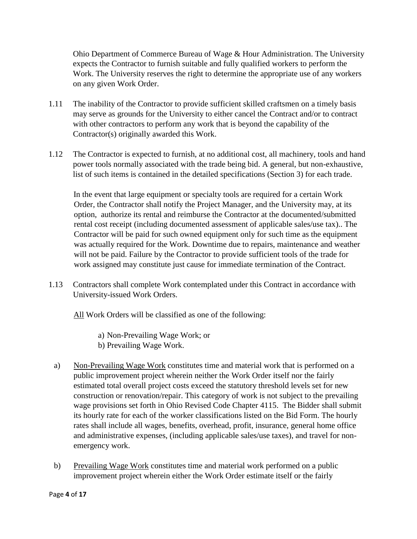Ohio Department of Commerce Bureau of Wage & Hour Administration. The University expects the Contractor to furnish suitable and fully qualified workers to perform the Work. The University reserves the right to determine the appropriate use of any workers on any given Work Order.

- 1.11 The inability of the Contractor to provide sufficient skilled craftsmen on a timely basis may serve as grounds for the University to either cancel the Contract and/or to contract with other contractors to perform any work that is beyond the capability of the Contractor(s) originally awarded this Work.
- 1.12 The Contractor is expected to furnish, at no additional cost, all machinery, tools and hand power tools normally associated with the trade being bid. A general, but non-exhaustive, list of such items is contained in the detailed specifications (Section 3) for each trade.

In the event that large equipment or specialty tools are required for a certain Work Order, the Contractor shall notify the Project Manager, and the University may, at its option, authorize its rental and reimburse the Contractor at the documented/submitted rental cost receipt (including documented assessment of applicable sales/use tax).. The Contractor will be paid for such owned equipment only for such time as the equipment was actually required for the Work. Downtime due to repairs, maintenance and weather will not be paid. Failure by the Contractor to provide sufficient tools of the trade for work assigned may constitute just cause for immediate termination of the Contract.

1.13 Contractors shall complete Work contemplated under this Contract in accordance with University-issued Work Orders.

All Work Orders will be classified as one of the following:

- a) Non-Prevailing Wage Work; or
- b) Prevailing Wage Work.
- a) Non-Prevailing Wage Work constitutes time and material work that is performed on a public improvement project wherein neither the Work Order itself nor the fairly estimated total overall project costs exceed the statutory threshold levels set for new construction or renovation/repair. This category of work is not subject to the prevailing wage provisions set forth in Ohio Revised Code Chapter 4115. The Bidder shall submit its hourly rate for each of the worker classifications listed on the Bid Form. The hourly rates shall include all wages, benefits, overhead, profit, insurance, general home office and administrative expenses, (including applicable sales/use taxes), and travel for nonemergency work.
- b) Prevailing Wage Work constitutes time and material work performed on a public improvement project wherein either the Work Order estimate itself or the fairly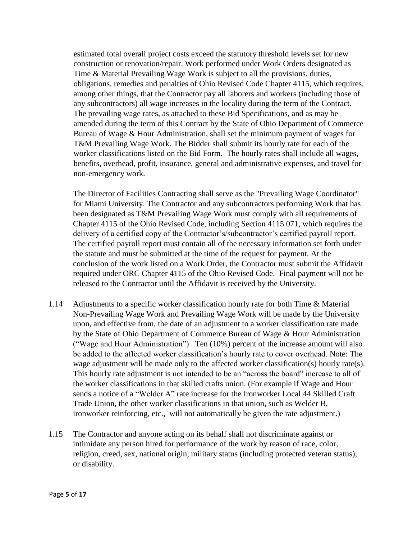estimated total overall project costs exceed the statutory threshold levels set for new construction or renovation/repair. Work performed under Work Orders designated as Time & Material Prevailing Wage Work is subject to all the provisions, duties, obligations, remedies and penalties of Ohio Revised Code Chapter 4115, which requires, among other things, that the Contractor pay all laborers and workers (including those of any subcontractors) all wage increases in the locality during the term of the Contract. The prevailing wage rates, as attached to these Bid Specifications, and as may be amended during the term of this Contract by the State of Ohio Department of Commerce Bureau of Wage & Hour Administration, shall set the minimum payment of wages for T&M Prevailing Wage Work. The Bidder shall submit its hourly rate for each of the worker classifications listed on the Bid Form. The hourly rates shall include all wages, benefits, overhead, profit, insurance, general and administrative expenses, and travel for non-emergency work.

The Director of Facilities Contracting shall serve as the "Prevailing Wage Coordinator" for Miami University. The Contractor and any subcontractors performing Work that has been designated as T&M Prevailing Wage Work must comply with all requirements of Chapter 4115 of the Ohio Revised Code, including Section 4115.071, which requires the delivery of a certified copy of the Contractor's/subcontractor's certified payroll report. The certified payroll report must contain all of the necessary information set forth under the statute and must be submitted at the time of the request for payment. At the conclusion of the work listed on a Work Order, the Contractor must submit the Affidavit required under ORC Chapter 4115 of the Ohio Revised Code. Final payment will not be released to the Contractor until the Affidavit is received by the University.

- 1.14 Adjustments to a specific worker classification hourly rate for both Time & Material Non-Prevailing Wage Work and Prevailing Wage Work will be made by the University upon, and effective from, the date of an adjustment to a worker classification rate made by the State of Ohio Department of Commerce Bureau of Wage & Hour Administration ("Wage and Hour Administration") . Ten (10%) percent of the increase amount will also be added to the affected worker classification's hourly rate to cover overhead. Note: The wage adjustment will be made only to the affected worker classification(s) hourly rate(s). This hourly rate adjustment is not intended to be an "across the board" increase to all of the worker classifications in that skilled crafts union. (For example if Wage and Hour sends a notice of a "Welder A" rate increase for the Ironworker Local 44 Skilled Craft Trade Union, the other worker classifications in that union, such as Welder B, ironworker reinforcing, etc., will not automatically be given the rate adjustment.)
- 1.15 The Contractor and anyone acting on its behalf shall not discriminate against or intimidate any person hired for performance of the work by reason of race, color, religion, creed, sex, national origin, military status (including protected veteran status), or disability.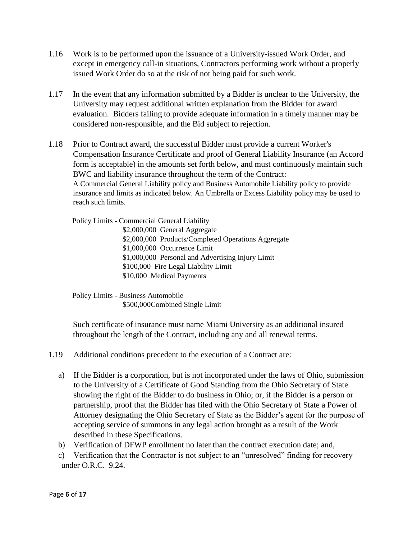- 1.16 Work is to be performed upon the issuance of a University-issued Work Order, and except in emergency call-in situations, Contractors performing work without a properly issued Work Order do so at the risk of not being paid for such work.
- 1.17 In the event that any information submitted by a Bidder is unclear to the University, the University may request additional written explanation from the Bidder for award evaluation. Bidders failing to provide adequate information in a timely manner may be considered non-responsible, and the Bid subject to rejection.
- 1.18 Prior to Contract award, the successful Bidder must provide a current Worker's Compensation Insurance Certificate and proof of General Liability Insurance (an Accord form is acceptable) in the amounts set forth below, and must continuously maintain such BWC and liability insurance throughout the term of the Contract: A Commercial General Liability policy and Business Automobile Liability policy to provide insurance and limits as indicated below. An Umbrella or Excess Liability policy may be used to reach such limits.

Policy Limits - Commercial General Liability

\$2,000,000 General Aggregate \$2,000,000 Products/Completed Operations Aggregate \$1,000,000 Occurrence Limit \$1,000,000 Personal and Advertising Injury Limit \$100,000 Fire Legal Liability Limit \$10,000 Medical Payments

Policy Limits - Business Automobile \$500,000Combined Single Limit

Such certificate of insurance must name Miami University as an additional insured throughout the length of the Contract, including any and all renewal terms.

- 1.19 Additional conditions precedent to the execution of a Contract are:
	- a) If the Bidder is a corporation, but is not incorporated under the laws of Ohio, submission to the University of a Certificate of Good Standing from the Ohio Secretary of State showing the right of the Bidder to do business in Ohio; or, if the Bidder is a person or partnership, proof that the Bidder has filed with the Ohio Secretary of State a Power of Attorney designating the Ohio Secretary of State as the Bidder's agent for the purpose of accepting service of summons in any legal action brought as a result of the Work described in these Specifications.
	- b) Verification of DFWP enrollment no later than the contract execution date; and,
	- c) Verification that the Contractor is not subject to an "unresolved" finding for recovery under O.R.C. 9.24.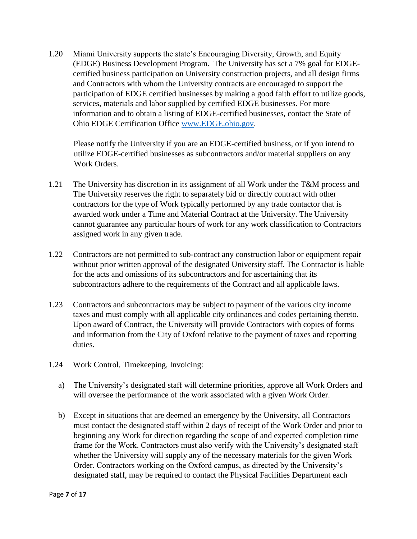1.20 Miami University supports the state's Encouraging Diversity, Growth, and Equity (EDGE) Business Development Program. The University has set a 7% goal for EDGEcertified business participation on University construction projects, and all design firms and Contractors with whom the University contracts are encouraged to support the participation of EDGE certified businesses by making a good faith effort to utilize goods, services, materials and labor supplied by certified EDGE businesses. For more information and to obtain a listing of EDGE-certified businesses, contact the State of Ohio EDGE Certification Office [www.EDGE.ohio.gov.](http://www.edge.ohio.gov/)

Please notify the University if you are an EDGE-certified business, or if you intend to utilize EDGE-certified businesses as subcontractors and/or material suppliers on any Work Orders.

- 1.21 The University has discretion in its assignment of all Work under the T&M process and The University reserves the right to separately bid or directly contract with other contractors for the type of Work typically performed by any trade contactor that is awarded work under a Time and Material Contract at the University. The University cannot guarantee any particular hours of work for any work classification to Contractors assigned work in any given trade.
- 1.22 Contractors are not permitted to sub-contract any construction labor or equipment repair without prior written approval of the designated University staff. The Contractor is liable for the acts and omissions of its subcontractors and for ascertaining that its subcontractors adhere to the requirements of the Contract and all applicable laws.
- 1.23 Contractors and subcontractors may be subject to payment of the various city income taxes and must comply with all applicable city ordinances and codes pertaining thereto. Upon award of Contract, the University will provide Contractors with copies of forms and information from the City of Oxford relative to the payment of taxes and reporting duties.
- 1.24 Work Control, Timekeeping, Invoicing:
	- a) The University's designated staff will determine priorities, approve all Work Orders and will oversee the performance of the work associated with a given Work Order.
	- b) Except in situations that are deemed an emergency by the University, all Contractors must contact the designated staff within 2 days of receipt of the Work Order and prior to beginning any Work for direction regarding the scope of and expected completion time frame for the Work. Contractors must also verify with the University's designated staff whether the University will supply any of the necessary materials for the given Work Order. Contractors working on the Oxford campus, as directed by the University's designated staff, may be required to contact the Physical Facilities Department each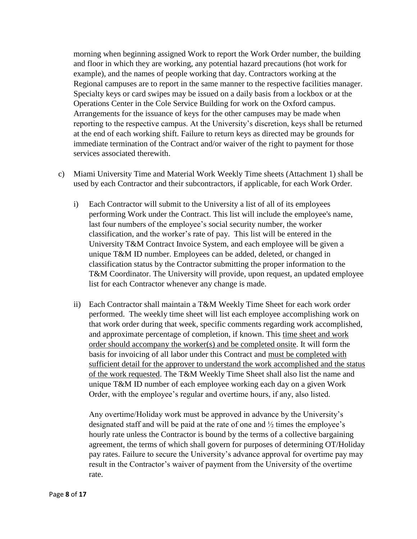morning when beginning assigned Work to report the Work Order number, the building and floor in which they are working, any potential hazard precautions (hot work for example), and the names of people working that day. Contractors working at the Regional campuses are to report in the same manner to the respective facilities manager. Specialty keys or card swipes may be issued on a daily basis from a lockbox or at the Operations Center in the Cole Service Building for work on the Oxford campus. Arrangements for the issuance of keys for the other campuses may be made when reporting to the respective campus. At the University's discretion, keys shall be returned at the end of each working shift. Failure to return keys as directed may be grounds for immediate termination of the Contract and/or waiver of the right to payment for those services associated therewith.

- c) Miami University Time and Material Work Weekly Time sheets (Attachment 1) shall be used by each Contractor and their subcontractors, if applicable, for each Work Order.
	- i) Each Contractor will submit to the University a list of all of its employees performing Work under the Contract. This list will include the employee's name, last four numbers of the employee's social security number, the worker classification, and the worker's rate of pay. This list will be entered in the University T&M Contract Invoice System, and each employee will be given a unique T&M ID number. Employees can be added, deleted, or changed in classification status by the Contractor submitting the proper information to the T&M Coordinator. The University will provide, upon request, an updated employee list for each Contractor whenever any change is made.
	- ii) Each Contractor shall maintain a T&M Weekly Time Sheet for each work order performed. The weekly time sheet will list each employee accomplishing work on that work order during that week, specific comments regarding work accomplished, and approximate percentage of completion, if known. This time sheet and work order should accompany the worker(s) and be completed onsite. It will form the basis for invoicing of all labor under this Contract and must be completed with sufficient detail for the approver to understand the work accomplished and the status of the work requested. The T&M Weekly Time Sheet shall also list the name and unique T&M ID number of each employee working each day on a given Work Order, with the employee's regular and overtime hours, if any, also listed.

Any overtime/Holiday work must be approved in advance by the University's designated staff and will be paid at the rate of one and ½ times the employee's hourly rate unless the Contractor is bound by the terms of a collective bargaining agreement, the terms of which shall govern for purposes of determining OT/Holiday pay rates. Failure to secure the University's advance approval for overtime pay may result in the Contractor's waiver of payment from the University of the overtime rate.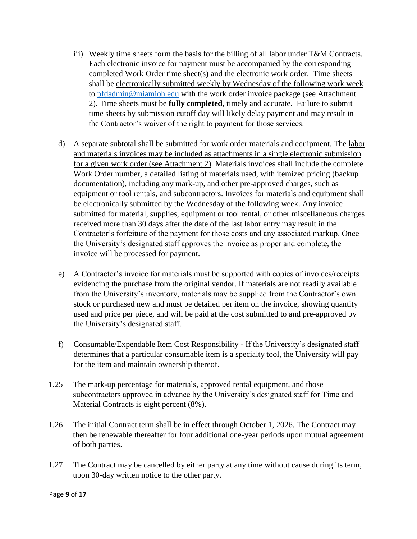- iii) Weekly time sheets form the basis for the billing of all labor under T&M Contracts. Each electronic invoice for payment must be accompanied by the corresponding completed Work Order time sheet(s) and the electronic work order. Time sheets shall be electronically submitted weekly by Wednesday of the following work week to [pfdadmin@miamioh.edu](mailto:pfdadmin@miamioh.edu) with the work order invoice package (see Attachment 2). Time sheets must be **fully completed**, timely and accurate. Failure to submit time sheets by submission cutoff day will likely delay payment and may result in the Contractor's waiver of the right to payment for those services.
- d) A separate subtotal shall be submitted for work order materials and equipment. The labor and materials invoices may be included as attachments in a single electronic submission for a given work order (see Attachment 2). Materials invoices shall include the complete Work Order number, a detailed listing of materials used, with itemized pricing (backup documentation), including any mark-up, and other pre-approved charges, such as equipment or tool rentals, and subcontractors. Invoices for materials and equipment shall be electronically submitted by the Wednesday of the following week. Any invoice submitted for material, supplies, equipment or tool rental, or other miscellaneous charges received more than 30 days after the date of the last labor entry may result in the Contractor's forfeiture of the payment for those costs and any associated markup. Once the University's designated staff approves the invoice as proper and complete, the invoice will be processed for payment.
- e) A Contractor's invoice for materials must be supported with copies of invoices/receipts evidencing the purchase from the original vendor. If materials are not readily available from the University's inventory, materials may be supplied from the Contractor's own stock or purchased new and must be detailed per item on the invoice, showing quantity used and price per piece, and will be paid at the cost submitted to and pre-approved by the University's designated staff.
- f) Consumable/Expendable Item Cost Responsibility If the University's designated staff determines that a particular consumable item is a specialty tool, the University will pay for the item and maintain ownership thereof.
- 1.25 The mark-up percentage for materials, approved rental equipment, and those subcontractors approved in advance by the University's designated staff for Time and Material Contracts is eight percent (8%).
- 1.26 The initial Contract term shall be in effect through October 1, 2026. The Contract may then be renewable thereafter for four additional one-year periods upon mutual agreement of both parties.
- 1.27 The Contract may be cancelled by either party at any time without cause during its term, upon 30-day written notice to the other party.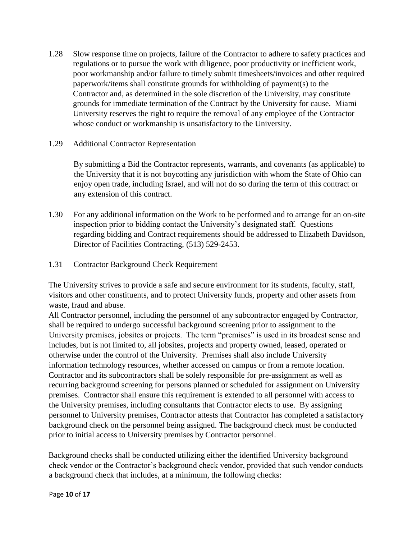- 1.28 Slow response time on projects, failure of the Contractor to adhere to safety practices and regulations or to pursue the work with diligence, poor productivity or inefficient work, poor workmanship and/or failure to timely submit timesheets/invoices and other required paperwork/items shall constitute grounds for withholding of payment(s) to the Contractor and, as determined in the sole discretion of the University, may constitute grounds for immediate termination of the Contract by the University for cause. Miami University reserves the right to require the removal of any employee of the Contractor whose conduct or workmanship is unsatisfactory to the University.
- 1.29 Additional Contractor Representation

By submitting a Bid the Contractor represents, warrants, and covenants (as applicable) to the University that it is not boycotting any jurisdiction with whom the State of Ohio can enjoy open trade, including Israel, and will not do so during the term of this contract or any extension of this contract.

- 1.30 For any additional information on the Work to be performed and to arrange for an on-site inspection prior to bidding contact the University's designated staff. Questions regarding bidding and Contract requirements should be addressed to Elizabeth Davidson, Director of Facilities Contracting, (513) 529-2453.
- 1.31 Contractor Background Check Requirement

The University strives to provide a safe and secure environment for its students, faculty, staff, visitors and other constituents, and to protect University funds, property and other assets from waste, fraud and abuse.

All Contractor personnel, including the personnel of any subcontractor engaged by Contractor, shall be required to undergo successful background screening prior to assignment to the University premises, jobsites or projects. The term "premises" is used in its broadest sense and includes, but is not limited to, all jobsites, projects and property owned, leased, operated or otherwise under the control of the University. Premises shall also include University information technology resources, whether accessed on campus or from a remote location. Contractor and its subcontractors shall be solely responsible for pre-assignment as well as recurring background screening for persons planned or scheduled for assignment on University premises. Contractor shall ensure this requirement is extended to all personnel with access to the University premises, including consultants that Contractor elects to use. By assigning personnel to University premises, Contractor attests that Contractor has completed a satisfactory background check on the personnel being assigned. The background check must be conducted prior to initial access to University premises by Contractor personnel.

Background checks shall be conducted utilizing either the identified University background check vendor or the Contractor's background check vendor, provided that such vendor conducts a background check that includes, at a minimum, the following checks: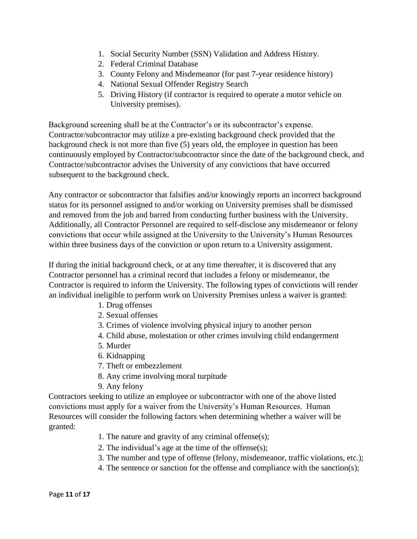- 1. Social Security Number (SSN) Validation and Address History.
- 2. Federal Criminal Database
- 3. County Felony and Misdemeanor (for past 7-year residence history)
- 4. National Sexual Offender Registry Search
- 5. Driving History (if contractor is required to operate a motor vehicle on University premises).

Background screening shall be at the Contractor's or its subcontractor's expense. Contractor/subcontractor may utilize a pre-existing background check provided that the background check is not more than five (5) years old, the employee in question has been continuously employed by Contractor/subcontractor since the date of the background check, and Contractor/subcontractor advises the University of any convictions that have occurred subsequent to the background check.

Any contractor or subcontractor that falsifies and/or knowingly reports an incorrect background status for its personnel assigned to and/or working on University premises shall be dismissed and removed from the job and barred from conducting further business with the University. Additionally, all Contractor Personnel are required to self-disclose any misdemeanor or felony convictions that occur while assigned at the University to the University's Human Resources within three business days of the conviction or upon return to a University assignment.

If during the initial background check, or at any time thereafter, it is discovered that any Contractor personnel has a criminal record that includes a felony or misdemeanor, the Contractor is required to inform the University. The following types of convictions will render an individual ineligible to perform work on University Premises unless a waiver is granted:

- 1. Drug offenses
- 2. Sexual offenses
- 3. Crimes of violence involving physical injury to another person
- 4. Child abuse, molestation or other crimes involving child endangerment
- 5. Murder
- 6. Kidnapping
- 7. Theft or embezzlement
- 8. Any crime involving moral turpitude
- 9. Any felony

Contractors seeking to utilize an employee or subcontractor with one of the above listed convictions must apply for a waiver from the University's Human Resources. Human Resources will consider the following factors when determining whether a waiver will be granted:

- 1. The nature and gravity of any criminal offense(s);
- 2. The individual's age at the time of the offense(s);
- 3. The number and type of offense (felony, misdemeanor, traffic violations, etc.);
- 4. The sentence or sanction for the offense and compliance with the sanction(s);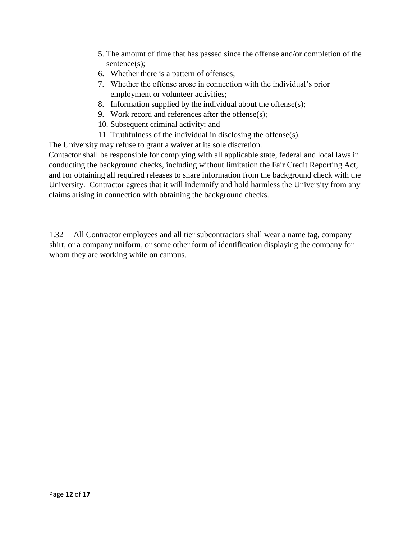- 5. The amount of time that has passed since the offense and/or completion of the sentence(s);
- 6. Whether there is a pattern of offenses;
- 7. Whether the offense arose in connection with the individual's prior employment or volunteer activities;
- 8. Information supplied by the individual about the offense(s);
- 9. Work record and references after the offense(s);
- 10. Subsequent criminal activity; and
- 11. Truthfulness of the individual in disclosing the offense(s).

The University may refuse to grant a waiver at its sole discretion.

Contactor shall be responsible for complying with all applicable state, federal and local laws in conducting the background checks, including without limitation the Fair Credit Reporting Act, and for obtaining all required releases to share information from the background check with the University. Contractor agrees that it will indemnify and hold harmless the University from any claims arising in connection with obtaining the background checks.

1.32 All Contractor employees and all tier subcontractors shall wear a name tag, company shirt, or a company uniform, or some other form of identification displaying the company for whom they are working while on campus.

.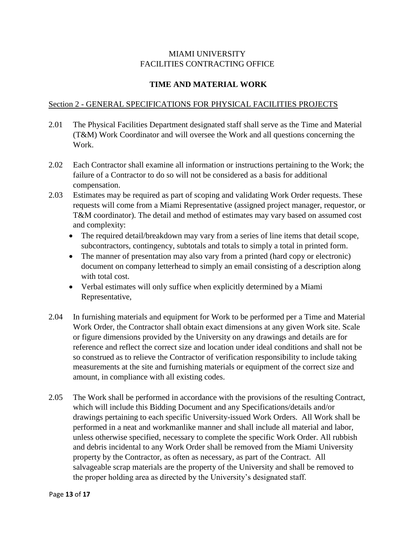## MIAMI UNIVERSITY FACILITIES CONTRACTING OFFICE

# **TIME AND MATERIAL WORK**

### Section 2 - GENERAL SPECIFICATIONS FOR PHYSICAL FACILITIES PROJECTS

- 2.01 The Physical Facilities Department designated staff shall serve as the Time and Material (T&M) Work Coordinator and will oversee the Work and all questions concerning the Work.
- 2.02 Each Contractor shall examine all information or instructions pertaining to the Work; the failure of a Contractor to do so will not be considered as a basis for additional compensation.
- 2.03 Estimates may be required as part of scoping and validating Work Order requests. These requests will come from a Miami Representative (assigned project manager, requestor, or T&M coordinator). The detail and method of estimates may vary based on assumed cost and complexity:
	- The required detail/breakdown may vary from a series of line items that detail scope, subcontractors, contingency, subtotals and totals to simply a total in printed form.
	- The manner of presentation may also vary from a printed (hard copy or electronic) document on company letterhead to simply an email consisting of a description along with total cost.
	- Verbal estimates will only suffice when explicitly determined by a Miami Representative,
- 2.04 In furnishing materials and equipment for Work to be performed per a Time and Material Work Order, the Contractor shall obtain exact dimensions at any given Work site. Scale or figure dimensions provided by the University on any drawings and details are for reference and reflect the correct size and location under ideal conditions and shall not be so construed as to relieve the Contractor of verification responsibility to include taking measurements at the site and furnishing materials or equipment of the correct size and amount, in compliance with all existing codes.
- 2.05 The Work shall be performed in accordance with the provisions of the resulting Contract, which will include this Bidding Document and any Specifications/details and/or drawings pertaining to each specific University-issued Work Orders. All Work shall be performed in a neat and workmanlike manner and shall include all material and labor, unless otherwise specified, necessary to complete the specific Work Order. All rubbish and debris incidental to any Work Order shall be removed from the Miami University property by the Contractor, as often as necessary, as part of the Contract. All salvageable scrap materials are the property of the University and shall be removed to the proper holding area as directed by the University's designated staff.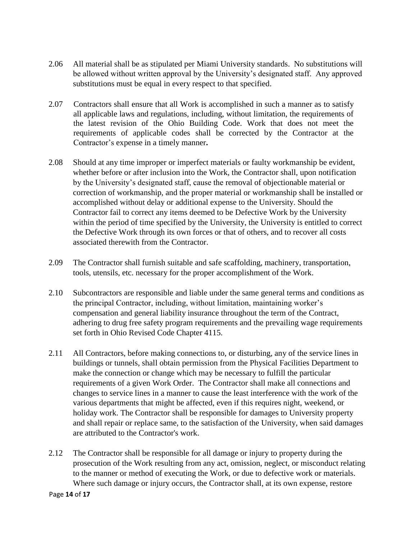- 2.06 All material shall be as stipulated per Miami University standards. No substitutions will be allowed without written approval by the University's designated staff. Any approved substitutions must be equal in every respect to that specified.
- 2.07 Contractors shall ensure that all Work is accomplished in such a manner as to satisfy all applicable laws and regulations, including, without limitation, the requirements of the latest revision of the Ohio Building Code. Work that does not meet the requirements of applicable codes shall be corrected by the Contractor at the Contractor's expense in a timely manner**.**
- 2.08 Should at any time improper or imperfect materials or faulty workmanship be evident, whether before or after inclusion into the Work, the Contractor shall, upon notification by the University's designated staff, cause the removal of objectionable material or correction of workmanship, and the proper material or workmanship shall be installed or accomplished without delay or additional expense to the University. Should the Contractor fail to correct any items deemed to be Defective Work by the University within the period of time specified by the University, the University is entitled to correct the Defective Work through its own forces or that of others, and to recover all costs associated therewith from the Contractor.
- 2.09 The Contractor shall furnish suitable and safe scaffolding, machinery, transportation, tools, utensils, etc. necessary for the proper accomplishment of the Work.
- 2.10 Subcontractors are responsible and liable under the same general terms and conditions as the principal Contractor, including, without limitation, maintaining worker's compensation and general liability insurance throughout the term of the Contract, adhering to drug free safety program requirements and the prevailing wage requirements set forth in Ohio Revised Code Chapter 4115.
- 2.11 All Contractors, before making connections to, or disturbing, any of the service lines in buildings or tunnels, shall obtain permission from the Physical Facilities Department to make the connection or change which may be necessary to fulfill the particular requirements of a given Work Order. The Contractor shall make all connections and changes to service lines in a manner to cause the least interference with the work of the various departments that might be affected, even if this requires night, weekend, or holiday work. The Contractor shall be responsible for damages to University property and shall repair or replace same, to the satisfaction of the University, when said damages are attributed to the Contractor's work.
- 2.12 The Contractor shall be responsible for all damage or injury to property during the prosecution of the Work resulting from any act, omission, neglect, or misconduct relating to the manner or method of executing the Work, or due to defective work or materials. Where such damage or injury occurs, the Contractor shall, at its own expense, restore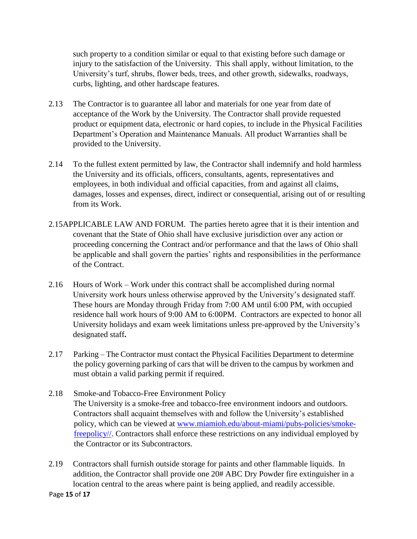such property to a condition similar or equal to that existing before such damage or injury to the satisfaction of the University. This shall apply, without limitation, to the University's turf, shrubs, flower beds, trees, and other growth, sidewalks, roadways, curbs, lighting, and other hardscape features.

- 2.13 The Contractor is to guarantee all labor and materials for one year from date of acceptance of the Work by the University. The Contractor shall provide requested product or equipment data, electronic or hard copies, to include in the Physical Facilities Department's Operation and Maintenance Manuals. All product Warranties shall be provided to the University.
- 2.14 To the fullest extent permitted by law, the Contractor shall indemnify and hold harmless the University and its officials, officers, consultants, agents, representatives and employees, in both individual and official capacities, from and against all claims, damages, losses and expenses, direct, indirect or consequential, arising out of or resulting from its Work.
- 2.15APPLICABLE LAW AND FORUM. The parties hereto agree that it is their intention and covenant that the State of Ohio shall have exclusive jurisdiction over any action or proceeding concerning the Contract and/or performance and that the laws of Ohio shall be applicable and shall govern the parties' rights and responsibilities in the performance of the Contract.
- 2.16 Hours of Work Work under this contract shall be accomplished during normal University work hours unless otherwise approved by the University's designated staff. These hours are Monday through Friday from 7:00 AM until 6:00 PM, with occupied residence hall work hours of 9:00 AM to 6:00PM. Contractors are expected to honor all University holidays and exam week limitations unless pre-approved by the University's designated staff**.**
- 2.17 Parking The Contractor must contact the Physical Facilities Department to determine the policy governing parking of cars that will be driven to the campus by workmen and must obtain a valid parking permit if required.
- 2.18 Smoke-and Tobacco-Free Environment Policy The University is a smoke-free and tobacco-free environment indoors and outdoors. Contractors shall acquaint themselves with and follow the University's established policy, which can be viewed at [www.miamioh.edu/about-miami/pubs-policies/smoke](http://www.miamioh.edu/about-miami/pubs-policies/smoke-free-policy/)[freepolicy//.](http://www.miamioh.edu/about-miami/pubs-policies/smoke-free-policy/) Contractors shall enforce these restrictions on any individual employed by the Contractor or its Subcontractors.
- 2.19 Contractors shall furnish outside storage for paints and other flammable liquids. In addition, the Contractor shall provide one 20# ABC Dry Powder fire extinguisher in a location central to the areas where paint is being applied, and readily accessible.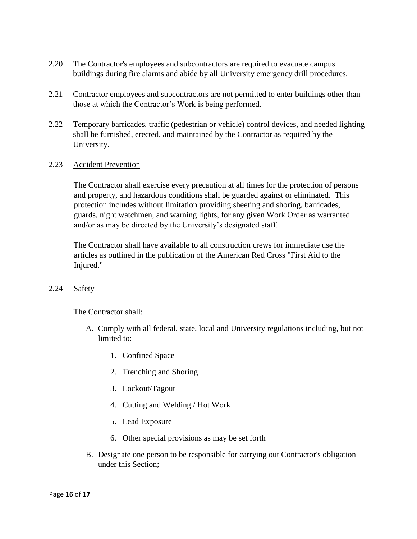- 2.20 The Contractor's employees and subcontractors are required to evacuate campus buildings during fire alarms and abide by all University emergency drill procedures.
- 2.21 Contractor employees and subcontractors are not permitted to enter buildings other than those at which the Contractor's Work is being performed.
- 2.22 Temporary barricades, traffic (pedestrian or vehicle) control devices, and needed lighting shall be furnished, erected, and maintained by the Contractor as required by the University.

#### 2.23 Accident Prevention

The Contractor shall exercise every precaution at all times for the protection of persons and property, and hazardous conditions shall be guarded against or eliminated. This protection includes without limitation providing sheeting and shoring, barricades, guards, night watchmen, and warning lights, for any given Work Order as warranted and/or as may be directed by the University's designated staff.

The Contractor shall have available to all construction crews for immediate use the articles as outlined in the publication of the American Red Cross "First Aid to the Injured."

#### 2.24 Safety

The Contractor shall:

- A. Comply with all federal, state, local and University regulations including, but not limited to:
	- 1. Confined Space
	- 2. Trenching and Shoring
	- 3. Lockout/Tagout
	- 4. Cutting and Welding / Hot Work
	- 5. Lead Exposure
	- 6. Other special provisions as may be set forth
- B. Designate one person to be responsible for carrying out Contractor's obligation under this Section;